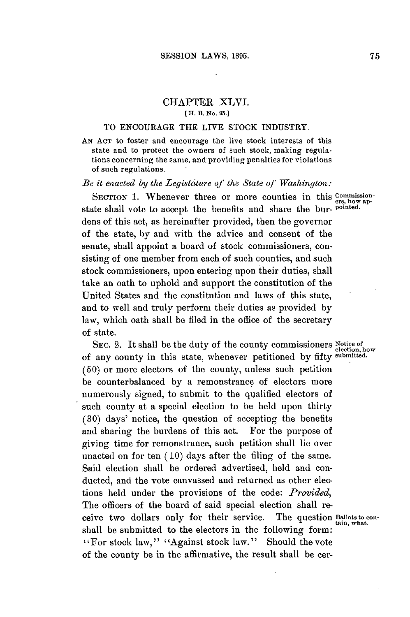## CHAPTER XLVI. **[ H. B. No. 95.]**

## TO **ENCOURAGE** THE LIVE STOCK **INDUSTRY.**

**AN ACT** to foster and encourage the live stock interests of this state and to protect the owners of such stock, making regulations concerning the same, and providing penalties for violations of such regulations.

## *Be it enacted by the Legislciture of the State of Washington:*

SECTION 1. Whenever three or more counties in this **COMMISSION** state shall vote to accept the benefits and share the bur- **pointed.** dens of this act, as hereinafter provided, then the governor of the state, **by** and with the advice and consent of the senate, shall appoint a board of stock commissioners, consisting of one member from each of such counties, and such stock commissioners, upon entering upon their duties, shall take an oath to uphold and support the constitution of the United States and the constitution and laws of this state, and to well and truly perform their duties as provided **by** law, which oath shall **be** filed in the office of the secretary of state.

SEC. 2. It shall be the duty of the county commissioners Notice of election, how of any county in this state, whenever petitioned **by** fifty **submitted. (50)** or more electors of the county, unless such petition be counterbalanced **by** a remonstrance of electors more numerously signed, to submit to the qualified electors of such county at a special election to be held upon thirty **(30)** days' notice, the question of accepting the benefits and sharing the burdens of this act. For the purpose of giving time for remonstrance, such petition shall lie over unacted on for ten **(10)** days after the filing of the same. Said election shall be ordered advertised, held and conducted, and the vote canvassed and returned as other elections held under the provisions of the code: *Provided,* The officers of the board of said special election shall receive two dollars only for their service. The question **Ballots to con**shall be submitted to the electors in the following form: "For stock law," "Against stock law." Should the vote of the county be in the affirmative, the result shall be cer-

**ers, how ap-**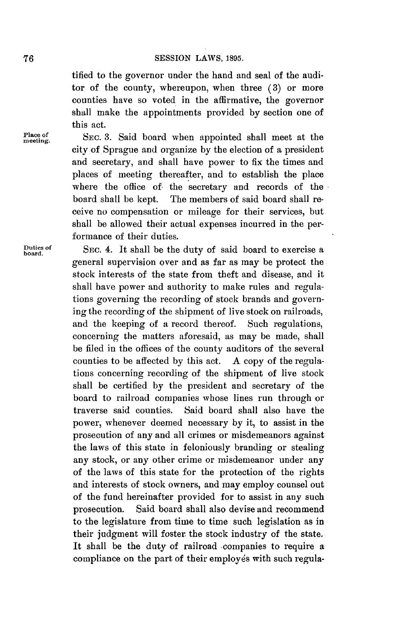tified to the governor under the hand and seal of the auditor of the county, whereupon, when three **(3)** or more counties have so voted in the affirmative, the governor shall make the appointments provided **by** section one of this act.

Place of SEC. 3. Said board when appointed shall meet at the city of Sprague and organize **by** the election of a president and secretary, and shall have power to fix the times and places of meeting thereafter, and to establish the place where the office of the secretary and records of the board shall be kept. The members of said board shall receive no compensation or mileage for their services, but shall be allowed their actual expenses incurred in the performance of their duties.

**Duties of** SEc. 4. It shall be the duty of said board to exercise a **board.** general supervision over and as far as may be protect the stock interests of the state from theft and disease, and it shall have power and authority to make rules and regulations governing the recording of stock brands and governing the recording of the shipment of live stock on railroads, and the keeping of a record thereof. Such regulations, concerning the matters aforesaid, as may be made, shall be filed in the offices of the county auditors of the several counties to be affected **by** this act. **A** copy of the regulations concerning recording of the shipment of live stock shall be certified **by** the president and secretary of the board to railroad companies whose lines run through or traverse said counties. Said board shall also have the power, whenever deemed necessary **by** it, to assist in the prosecution of any and all crimes or misdemeanors against the laws of this state in feloniously branding or stealing any stock, or any other crime or misdemeanor under any of the laws of this state for the protection of the rights and interests of stock owners, and may employ counsel out of the fund hereinafter provided for to assist in any such prosecution. Said board shall also devise and recommend to the legislature from time to time such legislation as in their judgment will foster the stock industry of the state. It shall be the duty of railroad companies to require a compliance on the part of their employés with such regula-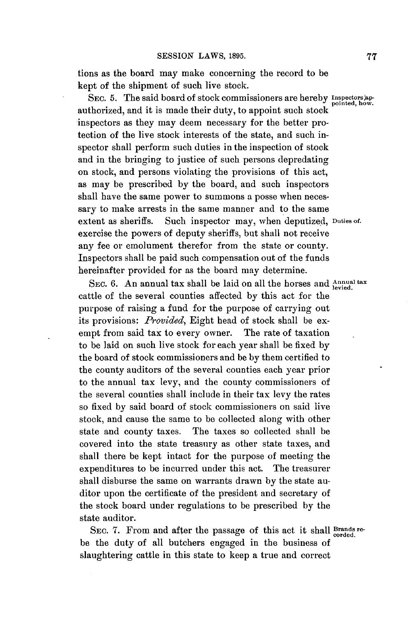tions as the board may make concerning the record to be kept of the shipment of such live stock.

SEC. 5. The said board of stock commissioners are hereby *Inspectors* approximately bounded, how. authorized, and it is made their duty, to appoint such stock inspectors as they may deem necessary for the better protection of the live stock interests of the state, and such inspector shall perform such duties in the inspection of stock and in the bringing to justice of such persons depredating on stock, and persons violating the provisions of this act, as may be prescribed **by** the board, and such inspectors shall have the same power to summons a posse when necessary to make arrests in the same manner and to the same extent as sheriffs. Such inspector may, when deputized, **Duties of.** exercise the powers of deputy sheriffs, but shall not receive any fee or emolument therefor from the state or county. Inspectors shall be paid such compensation out of the funds hereinafter provided for as the board may determine.

SEC. 6. An annual tax shall be laid on all the horses and *Annual* tax cattle of the several counties affected **by** this act for the purpose of raising a fund for the purpose of carrying out its provisions: *Provided,* Eight head of stock shall be exempt from said tax to every owner. The rate of taxation to be laid on such live stock for each year shall be fixed **by** the board of stock commissioners and be **by** them certified to the county auditors of the several counties each year prior to the annual tax levy, and the county commissioners of the several counties shall include in their tax levy the rates so fixed **by** said board of stock commissioners on said live stock, and cause the same to be collected along with other state and county taxes. The taxes so collected shall be covered into the state treasury as other state taxes, and shall there be kept intact for the purpose of meeting the expenditures to be incurred under this act. The treasurer shall disburse the same on warrants drawn **by** the state auditor upon the certificate of the president and secretary of the stock board under regulations to be prescribed **by** the state auditor.

SEC. 7. From and after the passage of this act it shall **Brands** rebe the duty of all butchers engaged in the business of slaughtering cattle in this state to keep a true and correct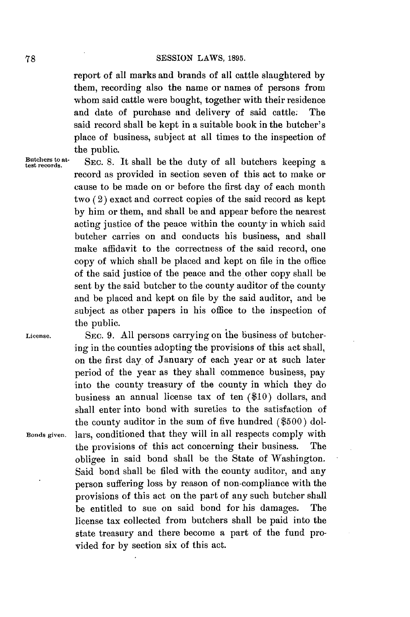report of all marks and brands of all cattle slaughtered **by** them, recording also the name or names of persons from whom said cattle were bought, together with their residence and date of purchase and delivery of said cattle. The said record shall be kept in a suitable book in the butcher's place of business, subject at all times to the inspection of the public.

est **crs at.** SEC. **8.** It shall be the duty of all butchers keeping a record as provided in section seven of this act to make or cause to be made on or before the first day of each month two (2) exact and correct copies of the said record as kept **by** him or them, and shall be and appear before the nearest acting justice of the peace within the county in which said butcher carries on and conducts his business, and shall make affidavit to the correctness of the said record, one copy of which shall be placed and kept on file in the office of the said justice of the peace and the other copy shall be sent **by** the said butcher to the county auditor of the county and be placed and kept on file **by** the said auditor, and be subject as other papers in his office to the inspection of the public.

**License. SEC. 9. All** persons carrying on the business of butchering in the counties adopting the provisions of this act shall, on the first day of January of each year or at such later period of the year as they shall commence business, pay into the county treasury of the county in which they do business an annual license tax of ten **(\$10)** dollars, and shall enter into bond with sureties to the satisfaction of the county auditor in the sum of five hundred **(\$500)** dol-**Bonds given.** lars, conditioned that they will in all respects comply with the provisions of this act concerning their business. The obligee in said bond shall be the State of Washington. Said bond shall be filed with the county auditor, and any person suffering loss **by** reason of non-compliance with the provisions of this act on the part of any such butcher shall be entitled to sue on said bond for his damages. The license tax collected from butchers shall be paid into the state treasury and there become a part of the fund provided for **by** section six of this act.